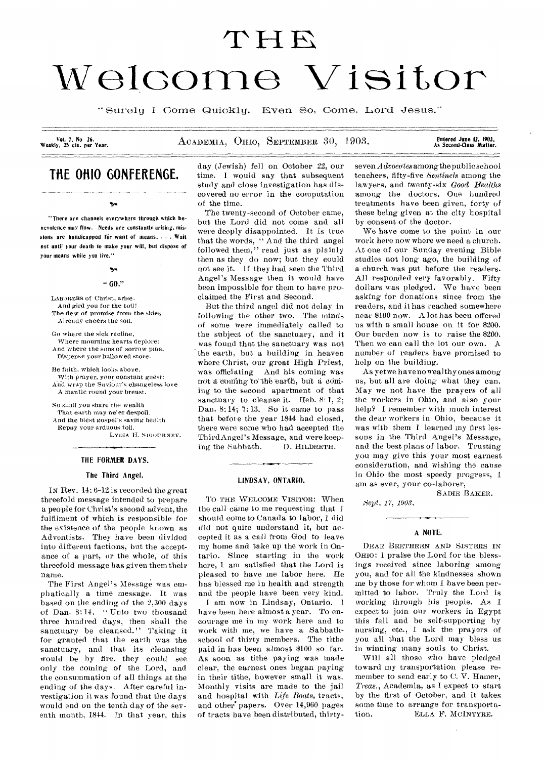# THE<br>Welcome Visitor

"Surely I Come Quickly. Even So, Come, Lord Jesus."

Vol. 7, No 26.<br>Weekly, 25 cts. per Year.

ACADEMIA, OHIO, SEPTEMBER 30, 1903.

Entered June 12, 1903,<br>As Second-Class Matter.

# **THE OHIO GONFERENGE.**

 $\mathbf{v}_0$ 

"There are channels everywhere through which benevolence may flow. Needs are constantly arising, missions are handicapped for want of means.... *Wait not* until your death to make your will, but dispose of your means while you live."

# $\mathbf{v}$  $~0.01$

LABORERS of Christ, arise. And gird you for the toil! The dew of promise from the skies Already cheers the soil.

Go where the sick recline, Where mourning hearts deplore: And where the sons of sorrow pine, Dispense your hallowed store.

Be faith, which looks above, With prayer, your constant guest: Ahd Wrap the Saviour's changeless love A mantle round your breast.

So shall you share the wealth That earth may ne'er despoil. And the blest gospel's saving health

Repay your arduous toil. LYDIA H. SIGOURNEY.

# THE FORMER DAYS.

# The Third Angel.

IN Rev. 14: 6-42 is recorded the great threefold message intended to prepare a people for Christ's second advent, the fulfilment of which is responsible for the existence of the people known as Adventists. They have been divided into different factions, hut the acceptance of a part, or the whole, of this threefold mess age has given them their. name.

The First Angel's Message was emphatically a time message. It was based on the ending of the 2,300 days of Dan. 8: 14. " Unto two thousand three hundred days, then shall the sanctuary be cleansed." Taking it for granted that the earth was the sanctuary, and that its cleansing would be by fire, they could see only the coming of the Lord, and the consummation of all things at the ending of the days. After careful investigation it was found that the days would end on the tenth day of the seventh month, 1844. In that year, this

day (Jewish) fell on October 22, our time. I would say that subsequent study and close investigation has discovered no error in the computation of the time.

The twenty-second of October came, but the Lord did not come and all were deeply disappointed. It is true that the words, " And the third angel followed them," read just as plainly then as they do now; but they could not see it. If they had seen the Third Angel's Message then it would have been impossible for them to have proclaimed the First and Second.

But the third angel did not delay in following the other two. The minds of some were immediately called to the subject of the sanctuary, and it was found that the sanctuary was not the earth, but a building in heaven where Christ, our great High Priest, was officiating And his coming was not a coming to the earth, but a coming to the second apartment of that sanctuary to cleanse it. Heb. 8:1, 2; Dan. 8:14; 7:13. So it came to pass that before the year 1844 had closed, there were some who had accepted the Third Angel's Message, and were keeping the Sabbath. D. HILDRETH.

## LINDSAY, ONTARIO.

TO THE WELCOME VISITOR: When the call came to me requesting that I should come to Canada to labor, 1 did did not quite understand it, but accepted it as a call from God to leave my home and take up the work in Ontario. Since starting in the work here, I am satisfied that the Lord is pleased to have me labor here. He has blessed me in health and strength and the people have been very kind.

I am now in Lindsay, Ontario. I have been here almost a year. To encourage me in my work here and to work with me, we have a Sabbathschool of thirty members. The tithe paid in has been almost \$100 so far. As soon as tithe paying was made clear, the earnest ones began paying in their tithe, however small it was. Monthly visits are made to the jail and hospital with *Life* Boats, tracts, and other' papers. Over 14,960 pages of tracts have been distributed, thirtyseven *A droeutes* among the public school teachers, fifty-five *Sentinels* among the lawyers, and twenty-six *Good Healths* among the doctors. One hundred treatments have been given, forty of these being given at the city hospital by consent of the doctor.

We have come to the point in our work here now where we need a church. At one of our Sunday evening Bible studies not long ago, the building of a church was put before the readers. All responded very favorably. Fifty dollars was pledged. We have been asking for donations since from the readers, and it has reached somewhere near \$100 now. A lot has been offered us with a small house on it for \$200. Our burden now is to raise the \$200. Then we can call the lot our own. A number of readers have promised to help on the building.

As yet we have no wealthy ones among us, but all are doing what they can. May we not have the prayers of all the workers in Ohio, and also your help? I remember with much interest the dear workers in Ohio, because it was with them 1 learned my first lessons in the Third Angel's Message, and the best plans of labor. Trusting you may give this your most earnest consideration, and wishing the cause in Ohio the most speedy progress, I am as ever, your co-laborer,

SADIE BAKER.

*Sept. 17, 1901.* 

# A NOTE.

DEAR BRETHREN AND SISTERS IN OHIO: 1 praise the Lord for the blessings received since laboring among you, and for all the kindnesses shown me by those for whom I have been permitted to labor. Truly the Lord is working through his people. As f. expect to join our workers in Egypt this fall and be self-supporting by nursing, etc., I ask the prayers of you all that the Lord may bless us in winning many souls to Christ.

Will all those who have pledged toward my transportation please remember to send early to C. V. Hamer, *Treas.,* Academia, as I expect to start by the first of October, and it takes some time to arrange for transportation. ELLA F. MCINTYRE.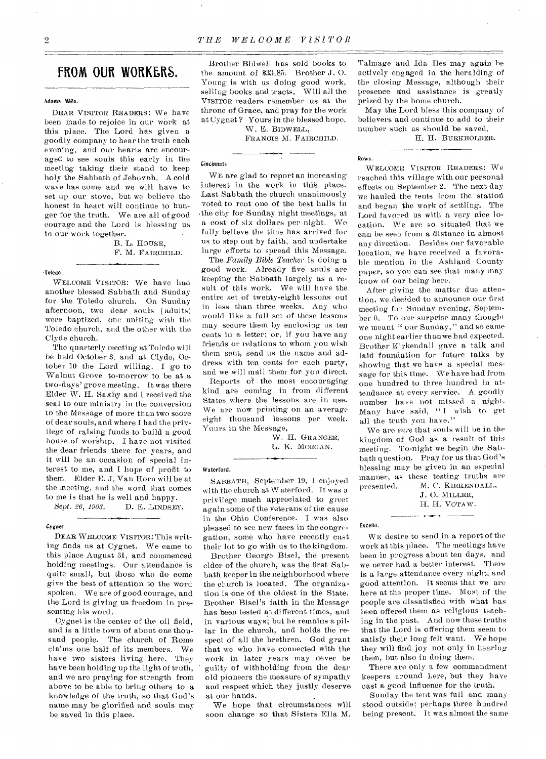# **FROM OUR WORKERS.**

# Adams Mills.

DEAR VISITOR READERS: We have been made to rejoice in our work at this place. The Lord has given a goodly company to hear the truth each evening, and our hearts are encouraged to see souls this early in the meeting taking their stand to keep holy the Sabbath of Jehovah. A cold wave has come and we will have to set up our stove, but we believe the honest in heart will continue to hunger for the truth. We are all of good courage and the Lord is blessing us in our work together.

B. L. HOUSE, F. M. FAIRCHILD.

# 'Toledo.

WELCOME VISITOR: We have had another blessed Sabbath and Sunday for the Toledo church. On Sunday afternoon, two dear souls ( adults) were baptized, one uniting with the Toledo church, and the other with the Clyde church.

The quarterly meeting at Toledo will be held October 3, and at Clyde, October 10 the Lord willing. I go to Walnut Grove to-morrow to be at a two-days' grove meeting. It was there Elder W. H. Saxby and I received the seal to our ministry in the conversion to the Message of more than two score of dear souls, and where I had the privilege of raising funds to build a good house of worship. I have not visited the dear friends there for years, and it will be an occasion of special interest to me, and I hope of profit to them. Elder E. J. Van Horn will be at the meeting, and the word that comes to me is that he is well and happy.<br>Sept. 26, 1903. D. E. LINDSEN

**D. E. LINDSEY.** 

# *Cygnet.*

DEAR WELCOME VISITOR: This writing finds us at Cygnet. We came to this place August 31, and commenced holding meetings. Our attendance is quite small, but those who do come give the best of attention to the word spoken. We are of good courage, and the Lord is giving us freedom in presenting his word.

Cygnet is the center of the oil field, and is a little town of about one thousand people. The church of Rome claims one half of its members. We have two sisters living here. They have been holding up the light of truth, and we are praying for strength from above to be able to bring others to a knowledge of the truth, so that God's name may be glorified and souls may be saved in this place.

Brother Bidwell has sold books to the amount of \$33.85. Brother J. 0. Young is with us doing good work, selling books and tracts. Will all the VISITOR readers remember us at the throne of Grace, and pray for the work at Cygnet ? Yours in the blessed hope, W. E. BIDWELL,

FRANCIS M. FAIRCHILD.

### Cincinnati.

WE are glad to report an increasing interest in the work in this place. Last Sabbath the church unanimously voted to rent one of the best halls in .the city for Sunday night meetings, at a cost of six dollars per night. We fully believe the time has arrived for us to step out by faith, and undertake large efforts to spread this Message.

The *Family Bible Teacher* is doing a good work. Already five souls are keeping the Sabbath largely as a result of this work. We will have the entire set of twenty-eight lessons out in less than three weeks. Any who would like a full set of these lessons may secure them by enclosing us ten cents in a letter; or, if you have any friends or relations to whom you wish\_ them sent, send us the name and address with ten cents for each party, and we will mail them for you direct.

Reports of the most encouraging kind are coming in from different States where the lessons are in use. We are now printing on an average eight thousand lessons per week. Yours in the Message,

> W. H. GRANGER, L. K. MORGAN.

### Waterford.

SABBATH, September 19, I enjoyed with the church at Waterford. It was a privilege much appreciated to greet again some of the Veterans of the cause in the Ohio Conference. I was also pleased to see new faces in the congregation, some who have recently cast their lot to go with us to the kingdom.

Brother George Bisel, the present elder of the church, was the first Sabbath keeper in the neighborhood where the church is located. The organization is one of the oldest in the State. Brother Bisel's faith in the Message has been tested at different times, and in various ways; but he remains a pillar in the church, and holds the respect of all the brethren. God grant that *we* who have connected with the work in later years may never be guilty of withholding from the dear old pioneers the measure of sympathy and respect which they justly deserve at our hands.

We hope that circumstances will soon change so that Sisters Ella M. Talmage and Ida Iles may again be actively engaged in the heralding of the closing Message, although their presence and assistance is greatly prized by the home church.

May the Lord bless this company of believers and continue to add to their number such as should be saved.

• -•••••`-•

# H. H. BURKHOLDER.

# Rows.

WELCOME VISITOR READERS: We reached this village with our personal effects on September 2. The next day we hauled the tents from the station and began the work of settling. The Lord favored us with a very nice location. We are so situated that we can be seen from a distance in almost any direction. Besides our favorable location, we have received a favorable mention in the Ashland County paper, so you can see that many may know of our being here.

After giving the matter due attention, we decided to announce our first meeting for Sunday evening, September 6. To our surprise many thought we meant " our Sunday," and so came one night earlier than we had expected. Brother Kirkendall gave a talk and laid foundation for future talks by showing that we have a special mes-Sage for this time. We have had from one hundred to three hundred in attendance at every service. A goodly number have not missed a night. Many have said, " I wish to get all the truth you have."

We are *sure* that souls will be in the kingdom of God as a result of this meeting. To-night we begin the Sabbath question. Pray for us that God's blessing may be given in an especial manner, as these testing truths are presented. M. C. KIRKENDALL,

J. 0. MILLER, H. H. VOTAW.  $\ddot{\phantom{0}}$ 

Excello.

WE desire to send in a report of the work at this place. The meetings have been in progress about ten days, and we never had a better interest. There is a large. attendance every night, and good attention. It seems that we are here at the proper time. Most of the people are dissatisfied with what has been offered them as religious teaching in the past. And now these truths that the Lord is offering them seem to satisfy their long felt want. We hope they will find joy not only in hearing them, but also in doing them.

There are only a few commandment keepers around here, but they have cast a good influence for the truth.

Sunday the tent was full and many stood outside; perhaps three hundred being present. It was almost the same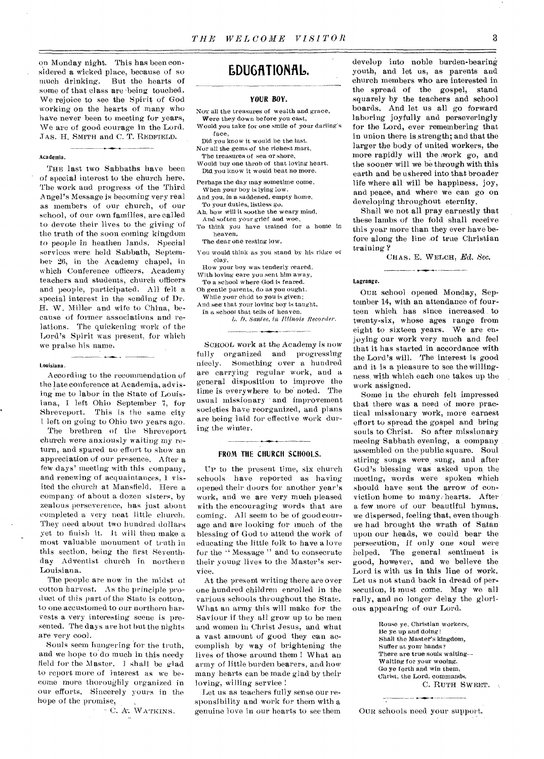on Monday night. This has been considered a wicked place, because of so much drinking. But the hearts of some of that class are-being touched. We rejoice to see the Spirit of God working on the hearts of many who have never been to meeting for years, We are of good courage in the Lord. JAS. H. SMITH and C. T. REDFIELD.

# Academia.

THE last two Sabbaths have been of special interest to the church here. The work and progress of the Third Angel's Message is becoming very real as members of our church, of our school, of our own families, are called to devote their lives to the giving of the truth of the soon coming kingdom to people in heathen lands. Special services were held Sabbath, September 26, in the Academy chapel, in which Conference officers, Academy teachers and students, church officers and people, participated. All felt a special interest in the sending of Dr. H. W. Miller and wife to China, because of former associations and relations. The quickening work of the Lord's Spirit was present, for which we praise his name.

### Louisiana.

According to the recommendation of the late conference at Academia, advising me to labor in the State of Louisiana, I left Ohio September 7, for Shreveport. This is the same city left on going to Ohio two years ago.

The brethren of the Shreveport church were anxiously waiting my return, and spared no effort to show an appreciation of our presence. After a few days' meeting with this company, and renewing of acquaintances, I visited the church at Mansfield. Here a company of about a dozen sisters, by zealous perseverence, has just about completed a very neat little church. They need about two hundred dollars yet to finish it. It Will then make a most valuable monument of truth in this section, being the first Seventhday Adventist church in northern Louisiana.

The people are now in the midst of cotton harvest. As the principle product of this part of the State is cotton, to one accustomed to our northern harvests a very interesting scene is presented. The days are hot but the nights are very cool.

Souls seem hungering for the truth, and we hope to do much in this needy field for the Master. I shall be glad to report more of interest as we become more thoroughly organized in our efforts. Sincerely yours in the hope of the promise,

C. A.: WATKINS.

# **EDUGRTIONRID.**

# **YOUR BOY.**

- Nor all the treasures of wealth and grace, Were they down before you cast,
- Would you take for one smile of your darling's face,
- Did you know it would be the last.
- Nor all the gems of the richest mart,
- The treasures of sea or shore, Would buy one throb of that loving heart,
- Did you know it would beat no more.
- Perhaps the day may sometime come,
- When your boy is lying low. And you, in a saddened, empty *home,*
- To your duties, listless go. Ah, how will it soothe the weary mind,
- And sof ten your grief and woe,
- To think you have trained for a home in heaven,

The dear one resting low.

You would think as you stand by his ridge or clay,

# How your boy was tenderly reared,

With loving care you sent him away, To a school where God is feared.

Oh gentle parents, do as you ought,

While your child to you is given;

And see that your loving boy is taught, In a school that tells of heaven. L. I). Santee, in Illinois Recorder.

SCHOOL work at the Academy is now fully organized and progressing nicely. Something over a hundred are carrying regular work, and a general disposition to improve the time is everywhere to be noted. The usual missionary and improvement societies have reorganized, and plans are being laid for effective work during the winter.

## **FROM THE CHURCH SCHOOLS.**

UP to the present time, six church schools have reported as having opened their doors for another year's work, and we are very much pleased with the encouraging words that are coming. All seem to be of good courage and are looking for much of the blessing of God to attend the work of educating the little folk to have a love for the "Message" and to consecrate their young lives to the Master's service.

At the present writing there are over one hundred children enrolled in the various schools throughout the State. What an army this will make for the Saviour if they all grow up to be men and women in Christ Jesus, and what a vast amount of good they can accomplish by way of brightening the lives of those around them ! What an army of little burden bearers, and how many hearts can be made glad by their loving, willing service !

Let us as teachers fully sense our responsibility and work for them with a genuine love in our hearts to see them develop into noble burden-bearing youth, and let us, as parents and church members who are interested in the spread of the gospel, stand squarely by the teachers and school boards. And let us all go forward laboring joyfully and perseveringly for the Lord, ever remembering that in union there is, strength; and that the larger the body of united workers, the more rapidly will the work go, and the sooner will we be through with this earth and be ushered into that broader life where all will be happiness, joy, and peace, and where we can go on developing throughout eternity.

Shall we not all pray earnestly that these lambs of the fold shall receive this year more than they ever have before along the line of true Christian training ?

CIIAS. E. WELCH, *Ed.* See.

# Lagrange.

OUR school opened Monday, September 14, with an attendance of fourteen which has since increased to twenty-six, whose ages range from eight to sixteen years. We are enjoying our work very much and feel that it has started in accordance with the Lord's will. The interest is good and it is a pleasure to see the willingness, with which each one takes up the work assigned.

Some in the church felt impressed that there was a need Of more practical missionary work, more earnest effort to spread the gospel and bring souls to Christ. So after missionary meeing 'Sabbath evening, a company . assembled on the public square. Soul stiring songs were\_ sung, and after God's blessing was asked upon, the meeting, words were spoken which should have sent the arrow of conviction home to many hearts. After a few more of our beautiful hymns, we dispersed, feeling that, even though we had brought the wrath of Satan upon our heads, we could bear the persecution, if only one soul were helped. The general sentiment is good, however, and we believe the Lord is with us in this line of work. Let us not stand back in dread of persecution, it must come. May we all rally, and no longer delay the glorious appearing of our Lord.

> Rouse ye, Christian workers, lie ye up and doing ! Shall the Master's kingdom, Suffer at your hands? There are true souls waiting-- Walting for your wooing. Go ye forth and win them, Christ, the Lord, commands. C. RUTH SWEET.

OUR schools need your support.